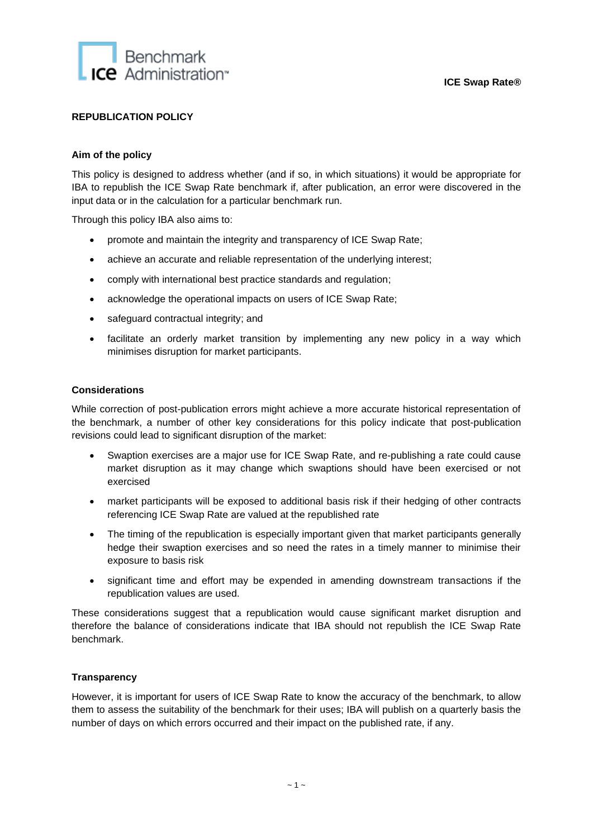

# **REPUBLICATION POLICY**

### **Aim of the policy**

This policy is designed to address whether (and if so, in which situations) it would be appropriate for IBA to republish the ICE Swap Rate benchmark if, after publication, an error were discovered in the input data or in the calculation for a particular benchmark run.

Through this policy IBA also aims to:

- promote and maintain the integrity and transparency of ICE Swap Rate;
- achieve an accurate and reliable representation of the underlying interest:
- comply with international best practice standards and regulation;
- acknowledge the operational impacts on users of ICE Swap Rate;
- safeguard contractual integrity; and
- facilitate an orderly market transition by implementing any new policy in a way which minimises disruption for market participants.

#### **Considerations**

While correction of post-publication errors might achieve a more accurate historical representation of the benchmark, a number of other key considerations for this policy indicate that post-publication revisions could lead to significant disruption of the market:

- Swaption exercises are a major use for ICE Swap Rate, and re-publishing a rate could cause market disruption as it may change which swaptions should have been exercised or not exercised
- market participants will be exposed to additional basis risk if their hedging of other contracts referencing ICE Swap Rate are valued at the republished rate
- The timing of the republication is especially important given that market participants generally hedge their swaption exercises and so need the rates in a timely manner to minimise their exposure to basis risk
- significant time and effort may be expended in amending downstream transactions if the republication values are used.

These considerations suggest that a republication would cause significant market disruption and therefore the balance of considerations indicate that IBA should not republish the ICE Swap Rate benchmark.

## **Transparency**

However, it is important for users of ICE Swap Rate to know the accuracy of the benchmark, to allow them to assess the suitability of the benchmark for their uses; IBA will publish on a quarterly basis the number of days on which errors occurred and their impact on the published rate, if any.